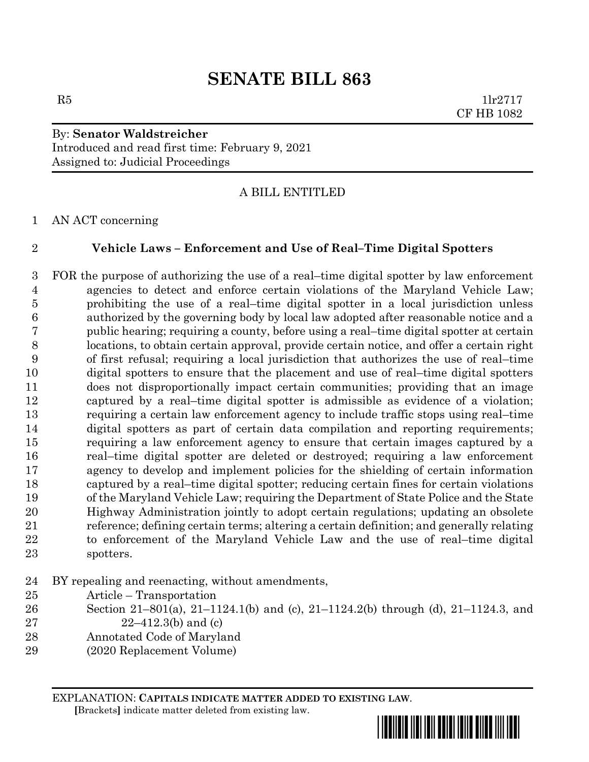$R5$  1lr2717 CF HB 1082

### By: **Senator Waldstreicher** Introduced and read first time: February 9, 2021 Assigned to: Judicial Proceedings

### A BILL ENTITLED

AN ACT concerning

### **Vehicle Laws – Enforcement and Use of Real–Time Digital Spotters**

 FOR the purpose of authorizing the use of a real–time digital spotter by law enforcement agencies to detect and enforce certain violations of the Maryland Vehicle Law; prohibiting the use of a real–time digital spotter in a local jurisdiction unless authorized by the governing body by local law adopted after reasonable notice and a public hearing; requiring a county, before using a real–time digital spotter at certain locations, to obtain certain approval, provide certain notice, and offer a certain right of first refusal; requiring a local jurisdiction that authorizes the use of real–time digital spotters to ensure that the placement and use of real–time digital spotters does not disproportionally impact certain communities; providing that an image captured by a real–time digital spotter is admissible as evidence of a violation; requiring a certain law enforcement agency to include traffic stops using real–time digital spotters as part of certain data compilation and reporting requirements; requiring a law enforcement agency to ensure that certain images captured by a real–time digital spotter are deleted or destroyed; requiring a law enforcement agency to develop and implement policies for the shielding of certain information captured by a real–time digital spotter; reducing certain fines for certain violations of the Maryland Vehicle Law; requiring the Department of State Police and the State Highway Administration jointly to adopt certain regulations; updating an obsolete reference; defining certain terms; altering a certain definition; and generally relating to enforcement of the Maryland Vehicle Law and the use of real–time digital spotters.

BY repealing and reenacting, without amendments,

- Article Transportation
- Section 21–801(a), 21–1124.1(b) and (c), 21–1124.2(b) through (d), 21–1124.3, and
- 27  $22-412.3(b)$  and (c)
- Annotated Code of Maryland
- (2020 Replacement Volume)

EXPLANATION: **CAPITALS INDICATE MATTER ADDED TO EXISTING LAW**.

 **[**Brackets**]** indicate matter deleted from existing law.

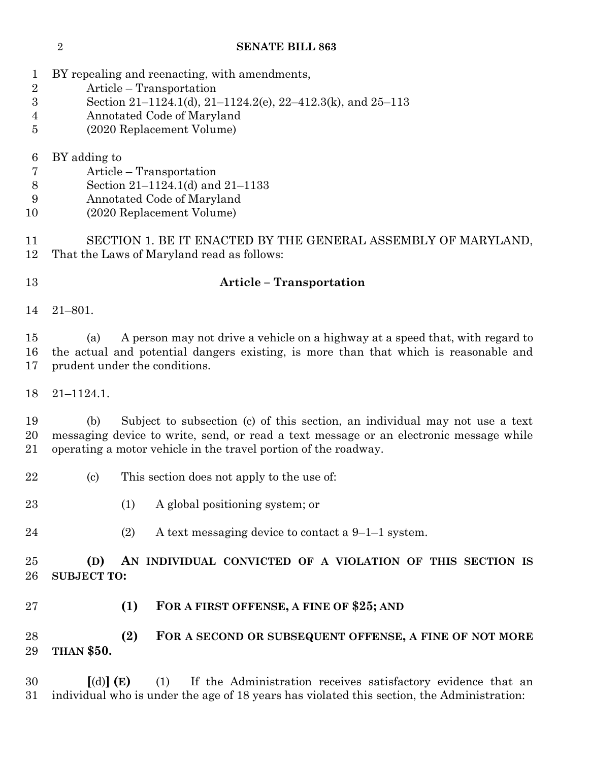- BY repealing and reenacting, with amendments,
- Article Transportation
- Section 21–1124.1(d), 21–1124.2(e), 22–412.3(k), and 25–113
- Annotated Code of Maryland
- (2020 Replacement Volume)
- BY adding to
- Article Transportation
- Section 21–1124.1(d) and 21–1133
- Annotated Code of Maryland
- (2020 Replacement Volume)

 SECTION 1. BE IT ENACTED BY THE GENERAL ASSEMBLY OF MARYLAND, That the Laws of Maryland read as follows:

### **Article – Transportation**

21–801.

 (a) A person may not drive a vehicle on a highway at a speed that, with regard to the actual and potential dangers existing, is more than that which is reasonable and prudent under the conditions.

21–1124.1.

 (b) Subject to subsection (c) of this section, an individual may not use a text messaging device to write, send, or read a text message or an electronic message while operating a motor vehicle in the travel portion of the roadway.

- (c) This section does not apply to the use of:
- 23 (1) A global positioning system; or
- 24 (2) A text messaging device to contact a  $9-1-1$  system.

 **(D) AN INDIVIDUAL CONVICTED OF A VIOLATION OF THIS SECTION IS SUBJECT TO:**

**(1) FOR A FIRST OFFENSE, A FINE OF \$25; AND**

## **(2) FOR A SECOND OR SUBSEQUENT OFFENSE, A FINE OF NOT MORE THAN \$50.**

 **[**(d)**] (E)** (1) If the Administration receives satisfactory evidence that an individual who is under the age of 18 years has violated this section, the Administration: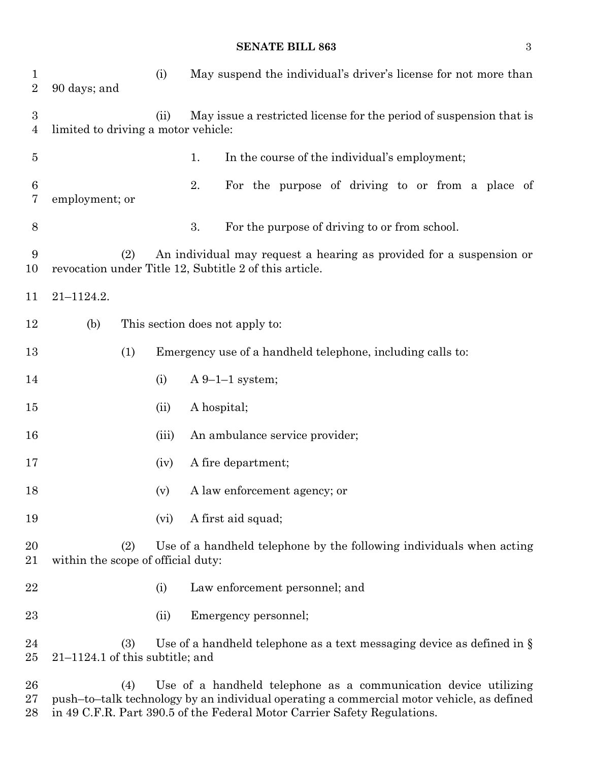| $\mathbf 1$<br>$\overline{2}$ | 90 days; and                              | (i)   | May suspend the individual's driver's license for not more than                                                                                              |  |
|-------------------------------|-------------------------------------------|-------|--------------------------------------------------------------------------------------------------------------------------------------------------------------|--|
| $\boldsymbol{3}$<br>4         | limited to driving a motor vehicle:       | (ii)  | May issue a restricted license for the period of suspension that is                                                                                          |  |
| $\overline{5}$                |                                           |       | In the course of the individual's employment;<br>1.                                                                                                          |  |
| 6<br>7                        | employment; or                            |       | 2.<br>For the purpose of driving to or from a place of                                                                                                       |  |
| 8                             |                                           |       | 3.<br>For the purpose of driving to or from school.                                                                                                          |  |
| 9<br>10                       | (2)                                       |       | An individual may request a hearing as provided for a suspension or<br>revocation under Title 12, Subtitle 2 of this article.                                |  |
| 11                            | $21 - 1124.2.$                            |       |                                                                                                                                                              |  |
| 12                            | (b)                                       |       | This section does not apply to:                                                                                                                              |  |
| 13                            | (1)                                       |       | Emergency use of a handheld telephone, including calls to:                                                                                                   |  |
| 14                            |                                           | (i)   | $A 9-1-1$ system;                                                                                                                                            |  |
| 15                            |                                           | (ii)  | A hospital;                                                                                                                                                  |  |
| 16                            |                                           | (iii) | An ambulance service provider;                                                                                                                               |  |
| 17                            |                                           | (iv)  | A fire department;                                                                                                                                           |  |
| 18                            |                                           | (v)   | A law enforcement agency; or                                                                                                                                 |  |
| 19                            |                                           | (vi)  | A first aid squad;                                                                                                                                           |  |
| 20<br>21                      | (2)<br>within the scope of official duty: |       | Use of a handheld telephone by the following individuals when acting                                                                                         |  |
| 22                            |                                           | (i)   | Law enforcement personnel; and                                                                                                                               |  |
| 23                            |                                           | (ii)  | Emergency personnel;                                                                                                                                         |  |
| 24<br>25                      | (3)<br>$21-1124.1$ of this subtitle; and  |       | Use of a handheld telephone as a text messaging device as defined in $\S$                                                                                    |  |
| 26<br>$27\,$                  | (4)                                       |       | Use of a handheld telephone as a communication device utilizing<br>push-to-talk technology by an individual operating a commercial motor vehicle, as defined |  |

in 49 C.F.R. Part 390.5 of the Federal Motor Carrier Safety Regulations.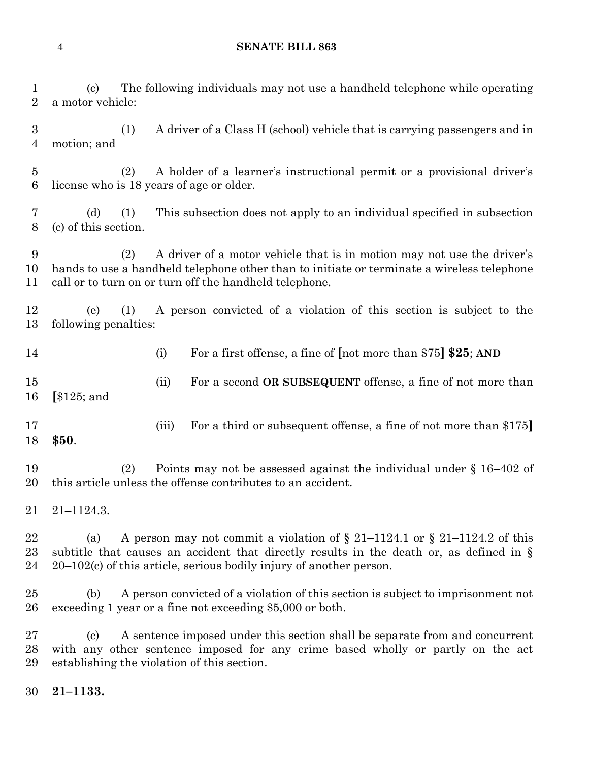| $\mathbf 1$<br>$\sqrt{2}$         | The following individuals may not use a handheld telephone while operating<br>(c)<br>a motor vehicle:                                                                                                                                                         |  |  |  |  |
|-----------------------------------|---------------------------------------------------------------------------------------------------------------------------------------------------------------------------------------------------------------------------------------------------------------|--|--|--|--|
| $\sqrt{3}$<br>4                   | A driver of a Class H (school) vehicle that is carrying passengers and in<br>(1)<br>motion; and                                                                                                                                                               |  |  |  |  |
| $\overline{5}$<br>$6\phantom{.}6$ | (2)<br>A holder of a learner's instructional permit or a provisional driver's<br>license who is 18 years of age or older.                                                                                                                                     |  |  |  |  |
| 7<br>$8\,$                        | This subsection does not apply to an individual specified in subsection<br>(d)<br>(1)<br>(c) of this section.                                                                                                                                                 |  |  |  |  |
| 9<br>10<br>11                     | A driver of a motor vehicle that is in motion may not use the driver's<br>(2)<br>hands to use a handheld telephone other than to initiate or terminate a wireless telephone<br>call or to turn on or turn off the handheld telephone.                         |  |  |  |  |
| 12<br>13                          | A person convicted of a violation of this section is subject to the<br>(e)<br>(1)<br>following penalties:                                                                                                                                                     |  |  |  |  |
| 14                                | For a first offense, a fine of [not more than \$75] \$25; AND<br>(i)                                                                                                                                                                                          |  |  |  |  |
| 15<br>16                          | For a second OR SUBSEQUENT offense, a fine of not more than<br>(ii)<br>$\left[ \frac{125}{2} \right]$ and                                                                                                                                                     |  |  |  |  |
| 17<br>18                          | For a third or subsequent offense, a fine of not more than \$175]<br>(iii)<br>\$50.                                                                                                                                                                           |  |  |  |  |
| 19<br>20                          | Points may not be assessed against the individual under $\S$ 16-402 of<br>(2)<br>this article unless the offense contributes to an accident.                                                                                                                  |  |  |  |  |
| 21                                | $21 - 1124.3.$                                                                                                                                                                                                                                                |  |  |  |  |
| 22<br>23<br>24                    | A person may not commit a violation of $\S 21-1124.1$ or $\S 21-1124.2$ of this<br>(a)<br>subtitle that causes an accident that directly results in the death or, as defined in $\S$<br>$20-102(c)$ of this article, serious bodily injury of another person. |  |  |  |  |
| 25<br>26                          | A person convicted of a violation of this section is subject to imprisonment not<br>(b)<br>exceeding 1 year or a fine not exceeding \$5,000 or both.                                                                                                          |  |  |  |  |
| 27<br>28<br>29                    | A sentence imposed under this section shall be separate from and concurrent<br>$\left( \mathrm{c}\right)$<br>with any other sentence imposed for any crime based wholly or partly on the act<br>establishing the violation of this section.                   |  |  |  |  |
| 30                                | $21 - 1133.$                                                                                                                                                                                                                                                  |  |  |  |  |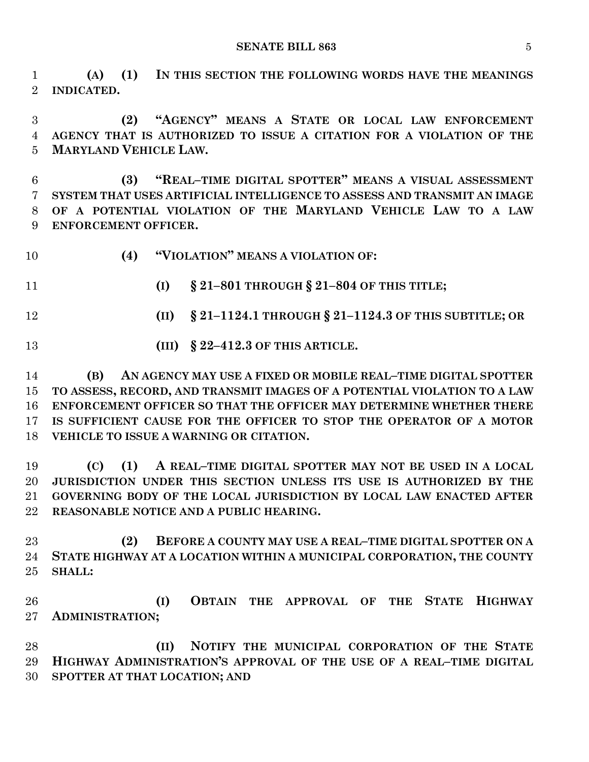**(A) (1) IN THIS SECTION THE FOLLOWING WORDS HAVE THE MEANINGS INDICATED.**

 **(2) "AGENCY" MEANS A STATE OR LOCAL LAW ENFORCEMENT AGENCY THAT IS AUTHORIZED TO ISSUE A CITATION FOR A VIOLATION OF THE MARYLAND VEHICLE LAW.**

 **(3) "REAL–TIME DIGITAL SPOTTER" MEANS A VISUAL ASSESSMENT SYSTEM THAT USES ARTIFICIAL INTELLIGENCE TO ASSESS AND TRANSMIT AN IMAGE OF A POTENTIAL VIOLATION OF THE MARYLAND VEHICLE LAW TO A LAW ENFORCEMENT OFFICER.**

**(4) "VIOLATION" MEANS A VIOLATION OF:**

**(I) § 21–801 THROUGH § 21–804 OF THIS TITLE;**

**(II) § 21–1124.1 THROUGH § 21–1124.3 OF THIS SUBTITLE; OR**

**(III) § 22–412.3 OF THIS ARTICLE.**

 **(B) AN AGENCY MAY USE A FIXED OR MOBILE REAL–TIME DIGITAL SPOTTER TO ASSESS, RECORD, AND TRANSMIT IMAGES OF A POTENTIAL VIOLATION TO A LAW ENFORCEMENT OFFICER SO THAT THE OFFICER MAY DETERMINE WHETHER THERE IS SUFFICIENT CAUSE FOR THE OFFICER TO STOP THE OPERATOR OF A MOTOR VEHICLE TO ISSUE A WARNING OR CITATION.**

 **(C) (1) A REAL–TIME DIGITAL SPOTTER MAY NOT BE USED IN A LOCAL JURISDICTION UNDER THIS SECTION UNLESS ITS USE IS AUTHORIZED BY THE GOVERNING BODY OF THE LOCAL JURISDICTION BY LOCAL LAW ENACTED AFTER REASONABLE NOTICE AND A PUBLIC HEARING.**

 **(2) BEFORE A COUNTY MAY USE A REAL–TIME DIGITAL SPOTTER ON A STATE HIGHWAY AT A LOCATION WITHIN A MUNICIPAL CORPORATION, THE COUNTY SHALL:**

 **(I) OBTAIN THE APPROVAL OF THE STATE HIGHWAY ADMINISTRATION;**

 **(II) NOTIFY THE MUNICIPAL CORPORATION OF THE STATE HIGHWAY ADMINISTRATION'S APPROVAL OF THE USE OF A REAL–TIME DIGITAL SPOTTER AT THAT LOCATION; AND**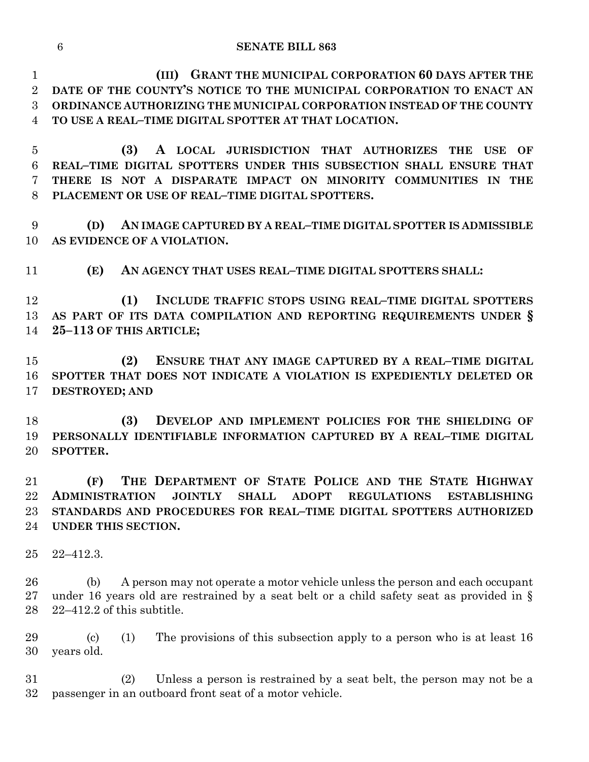**(III) GRANT THE MUNICIPAL CORPORATION 60 DAYS AFTER THE DATE OF THE COUNTY'S NOTICE TO THE MUNICIPAL CORPORATION TO ENACT AN ORDINANCE AUTHORIZING THE MUNICIPAL CORPORATION INSTEAD OF THE COUNTY TO USE A REAL–TIME DIGITAL SPOTTER AT THAT LOCATION.**

 **(3) A LOCAL JURISDICTION THAT AUTHORIZES THE USE OF REAL–TIME DIGITAL SPOTTERS UNDER THIS SUBSECTION SHALL ENSURE THAT THERE IS NOT A DISPARATE IMPACT ON MINORITY COMMUNITIES IN THE PLACEMENT OR USE OF REAL–TIME DIGITAL SPOTTERS.**

 **(D) AN IMAGE CAPTURED BY A REAL–TIME DIGITAL SPOTTER IS ADMISSIBLE AS EVIDENCE OF A VIOLATION.**

**(E) AN AGENCY THAT USES REAL–TIME DIGITAL SPOTTERS SHALL:**

 **(1) INCLUDE TRAFFIC STOPS USING REAL–TIME DIGITAL SPOTTERS AS PART OF ITS DATA COMPILATION AND REPORTING REQUIREMENTS UNDER § 25–113 OF THIS ARTICLE;**

 **(2) ENSURE THAT ANY IMAGE CAPTURED BY A REAL–TIME DIGITAL SPOTTER THAT DOES NOT INDICATE A VIOLATION IS EXPEDIENTLY DELETED OR DESTROYED; AND**

 **(3) DEVELOP AND IMPLEMENT POLICIES FOR THE SHIELDING OF PERSONALLY IDENTIFIABLE INFORMATION CAPTURED BY A REAL–TIME DIGITAL SPOTTER.**

 **(F) THE DEPARTMENT OF STATE POLICE AND THE STATE HIGHWAY ADMINISTRATION JOINTLY SHALL ADOPT REGULATIONS ESTABLISHING STANDARDS AND PROCEDURES FOR REAL–TIME DIGITAL SPOTTERS AUTHORIZED UNDER THIS SECTION.**

22–412.3.

 (b) A person may not operate a motor vehicle unless the person and each occupant under 16 years old are restrained by a seat belt or a child safety seat as provided in § 22–412.2 of this subtitle.

 (c) (1) The provisions of this subsection apply to a person who is at least 16 years old.

 (2) Unless a person is restrained by a seat belt, the person may not be a passenger in an outboard front seat of a motor vehicle.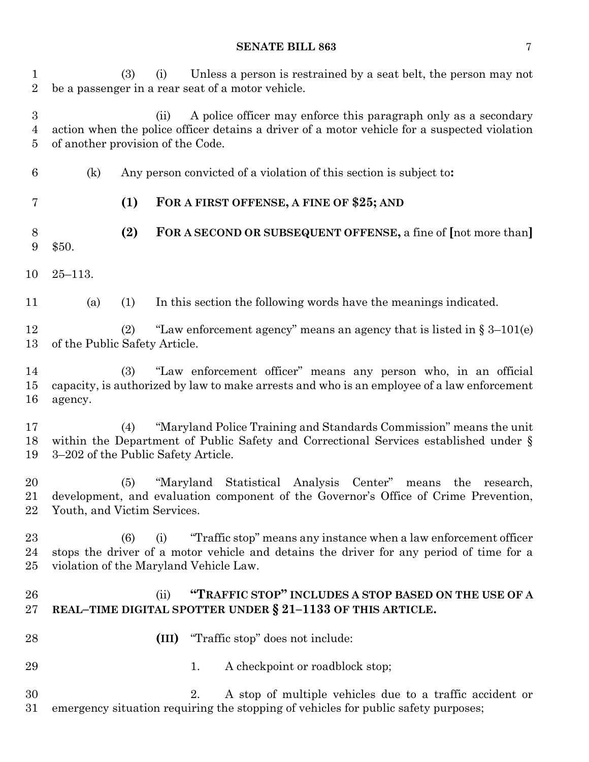(3) (i) Unless a person is restrained by a seat belt, the person may not be a passenger in a rear seat of a motor vehicle. (ii) A police officer may enforce this paragraph only as a secondary action when the police officer detains a driver of a motor vehicle for a suspected violation of another provision of the Code. (k) Any person convicted of a violation of this section is subject to**: (1) FOR A FIRST OFFENSE, A FINE OF \$25; AND (2) FOR A SECOND OR SUBSEQUENT OFFENSE,** a fine of **[**not more than**]** \$50. 25–113. (a) (1) In this section the following words have the meanings indicated. (2) "Law enforcement agency" means an agency that is listed in § 3–101(e) of the Public Safety Article. (3) "Law enforcement officer" means any person who, in an official capacity, is authorized by law to make arrests and who is an employee of a law enforcement agency. (4) "Maryland Police Training and Standards Commission" means the unit within the Department of Public Safety and Correctional Services established under § 3–202 of the Public Safety Article. (5) "Maryland Statistical Analysis Center" means the research, development, and evaluation component of the Governor's Office of Crime Prevention, Youth, and Victim Services. (6) (i) "Traffic stop" means any instance when a law enforcement officer stops the driver of a motor vehicle and detains the driver for any period of time for a violation of the Maryland Vehicle Law. (ii) **"TRAFFIC STOP" INCLUDES A STOP BASED ON THE USE OF A REAL–TIME DIGITAL SPOTTER UNDER § 21–1133 OF THIS ARTICLE. (III)** "Traffic stop" does not include: 29 1. A checkpoint or roadblock stop; 2. A stop of multiple vehicles due to a traffic accident or emergency situation requiring the stopping of vehicles for public safety purposes;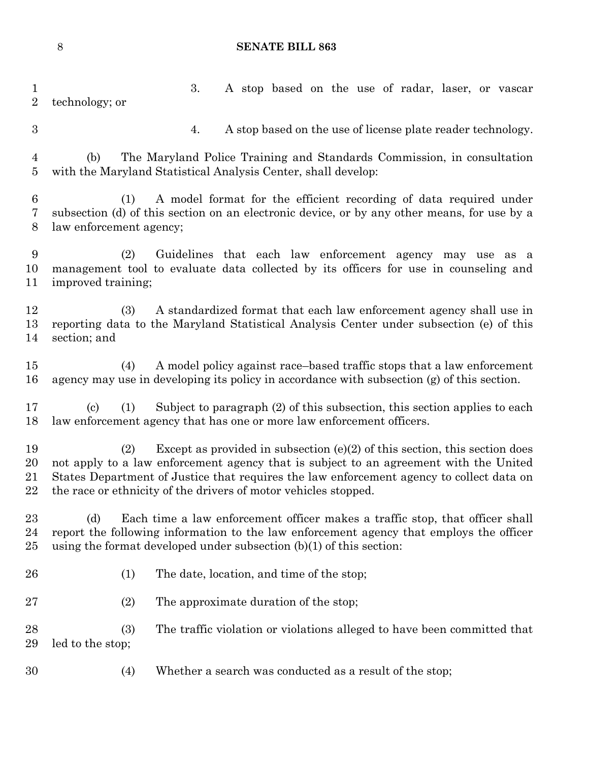| $\mathbf{1}$<br>$\overline{2}$ | 3.<br>A stop based on the use of radar, laser, or vascar<br>technology; or                                                                                                                                                                                                                                                                  |
|--------------------------------|---------------------------------------------------------------------------------------------------------------------------------------------------------------------------------------------------------------------------------------------------------------------------------------------------------------------------------------------|
| $\boldsymbol{3}$               | A stop based on the use of license plate reader technology.<br>4.                                                                                                                                                                                                                                                                           |
| $\overline{4}$<br>5            | The Maryland Police Training and Standards Commission, in consultation<br>(b)<br>with the Maryland Statistical Analysis Center, shall develop:                                                                                                                                                                                              |
| $6\phantom{.}6$<br>7<br>8      | A model format for the efficient recording of data required under<br>(1)<br>subsection (d) of this section on an electronic device, or by any other means, for use by a<br>law enforcement agency;                                                                                                                                          |
| 9<br>10<br>11                  | Guidelines that each law enforcement agency may use as a<br>(2)<br>management tool to evaluate data collected by its officers for use in counseling and<br>improved training;                                                                                                                                                               |
| 12<br>13<br>14                 | A standardized format that each law enforcement agency shall use in<br>(3)<br>reporting data to the Maryland Statistical Analysis Center under subsection (e) of this<br>section; and                                                                                                                                                       |
| 15<br>16                       | A model policy against race-based traffic stops that a law enforcement<br>(4)<br>agency may use in developing its policy in accordance with subsection (g) of this section.                                                                                                                                                                 |
| 17<br>18                       | Subject to paragraph (2) of this subsection, this section applies to each<br>$\left( \text{c}\right)$<br>(1)<br>law enforcement agency that has one or more law enforcement officers.                                                                                                                                                       |
| 19<br>20<br>21<br>22           | Except as provided in subsection $(e)(2)$ of this section, this section does<br>(2)<br>not apply to a law enforcement agency that is subject to an agreement with the United<br>States Department of Justice that requires the law enforcement agency to collect data on<br>the race or ethnicity of the drivers of motor vehicles stopped. |
| 23<br>24<br>25                 | Each time a law enforcement officer makes a traffic stop, that officer shall<br>(d)<br>report the following information to the law enforcement agency that employs the officer<br>using the format developed under subsection $(b)(1)$ of this section:                                                                                     |
| 26                             | The date, location, and time of the stop;<br>(1)                                                                                                                                                                                                                                                                                            |
| 27                             | The approximate duration of the stop;<br>(2)                                                                                                                                                                                                                                                                                                |
| 28<br>29                       | The traffic violation or violations alleged to have been committed that<br>(3)<br>led to the stop;                                                                                                                                                                                                                                          |
| 30                             | Whether a search was conducted as a result of the stop;<br>(4)                                                                                                                                                                                                                                                                              |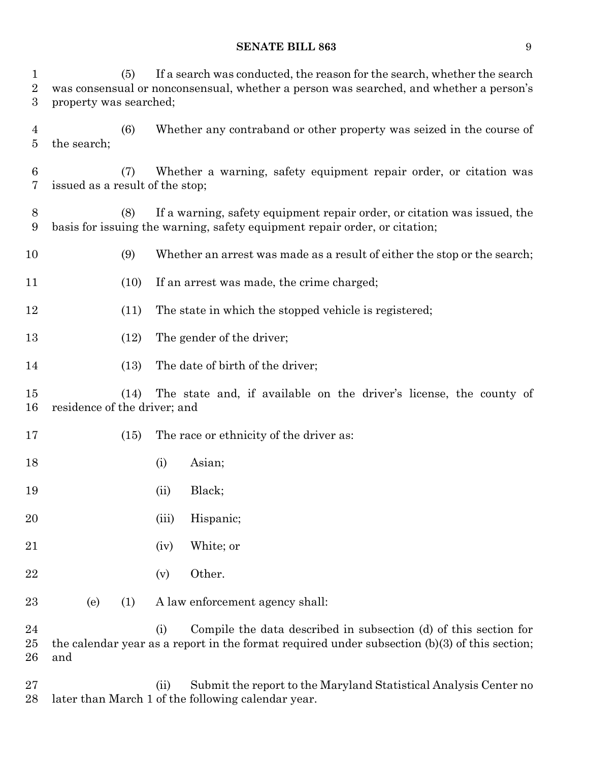(5) If a search was conducted, the reason for the search, whether the search was consensual or nonconsensual, whether a person was searched, and whether a person's property was searched;

 (6) Whether any contraband or other property was seized in the course of the search;

 (7) Whether a warning, safety equipment repair order, or citation was issued as a result of the stop;

- (8) If a warning, safety equipment repair order, or citation was issued, the basis for issuing the warning, safety equipment repair order, or citation;
- (9) Whether an arrest was made as a result of either the stop or the search;
- (10) If an arrest was made, the crime charged;
- (11) The state in which the stopped vehicle is registered;
- 13 (12) The gender of the driver;
- 14 (13) The date of birth of the driver;

 (14) The state and, if available on the driver's license, the county of residence of the driver; and

- 17 (15) The race or ethnicity of the driver as:
- 18 (i) Asian;
- 19 (ii) Black;
- (iii) Hispanic;
- (iv) White; or
- (v) Other.
- (e) (1) A law enforcement agency shall:

 (i) Compile the data described in subsection (d) of this section for the calendar year as a report in the format required under subsection (b)(3) of this section; and

 (ii) Submit the report to the Maryland Statistical Analysis Center no later than March 1 of the following calendar year.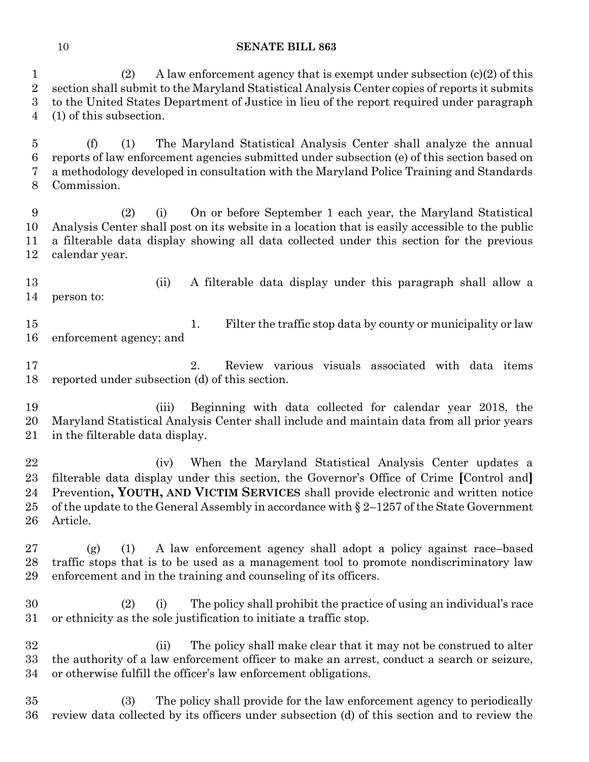(2) A law enforcement agency that is exempt under subsection (c)(2) of this section shall submit to the Maryland Statistical Analysis Center copies of reports it submits to the United States Department of Justice in lieu of the report required under paragraph (1) of this subsection.

 (f) (1) The Maryland Statistical Analysis Center shall analyze the annual reports of law enforcement agencies submitted under subsection (e) of this section based on a methodology developed in consultation with the Maryland Police Training and Standards Commission.

 (2) (i) On or before September 1 each year, the Maryland Statistical Analysis Center shall post on its website in a location that is easily accessible to the public a filterable data display showing all data collected under this section for the previous calendar year.

 (ii) A filterable data display under this paragraph shall allow a person to:

 1. Filter the traffic stop data by county or municipality or law enforcement agency; and

 2. Review various visuals associated with data items reported under subsection (d) of this section.

 (iii) Beginning with data collected for calendar year 2018, the Maryland Statistical Analysis Center shall include and maintain data from all prior years in the filterable data display.

 (iv) When the Maryland Statistical Analysis Center updates a filterable data display under this section, the Governor's Office of Crime **[**Control and**]** Prevention**, YOUTH, AND VICTIM SERVICES** shall provide electronic and written notice 25 of the update to the General Assembly in accordance with  $\S 2-1257$  of the State Government Article.

 (g) (1) A law enforcement agency shall adopt a policy against race–based traffic stops that is to be used as a management tool to promote nondiscriminatory law enforcement and in the training and counseling of its officers.

 (2) (i) The policy shall prohibit the practice of using an individual's race or ethnicity as the sole justification to initiate a traffic stop.

 (ii) The policy shall make clear that it may not be construed to alter the authority of a law enforcement officer to make an arrest, conduct a search or seizure, or otherwise fulfill the officer's law enforcement obligations.

 (3) The policy shall provide for the law enforcement agency to periodically review data collected by its officers under subsection (d) of this section and to review the